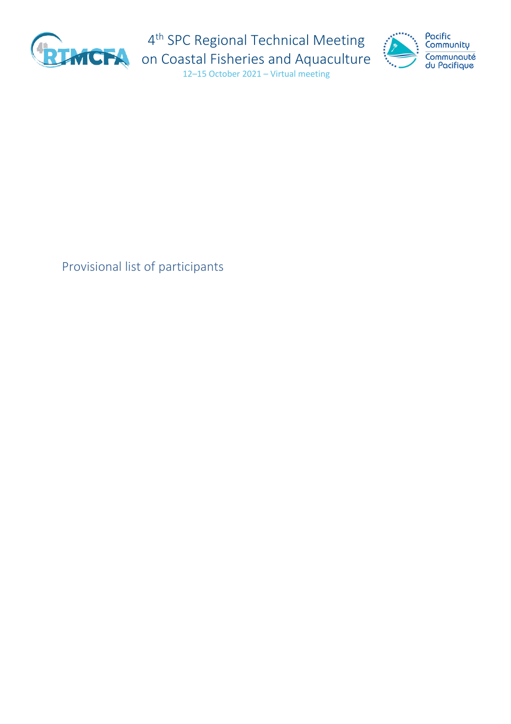

4<sup>th</sup> SPC Regional Technical Meeting



on Coastal Fisheries and Aquaculture 12–15 October 2021 – Virtual meeting

## Provisional list of participants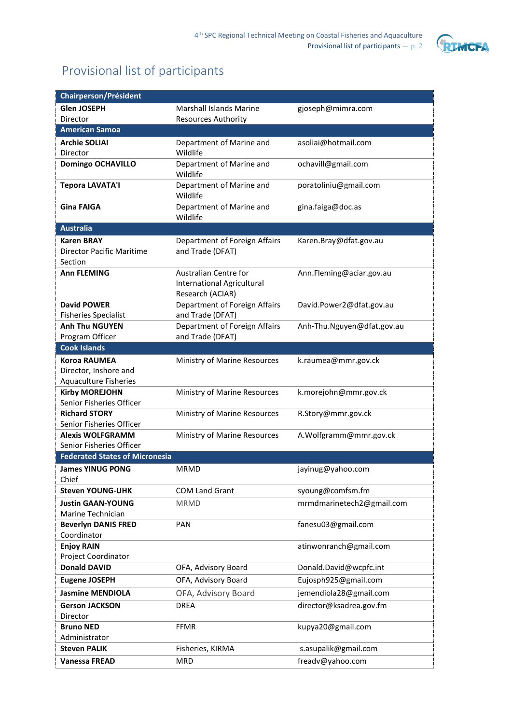

## Provisional list of participants

| Chairperson/Président                             |                                                                                |                            |
|---------------------------------------------------|--------------------------------------------------------------------------------|----------------------------|
| <b>Glen JOSEPH</b>                                | Marshall Islands Marine                                                        | gjoseph@mimra.com          |
| Director                                          | <b>Resources Authority</b>                                                     |                            |
| <b>American Samoa</b>                             |                                                                                |                            |
| <b>Archie SOLIAI</b>                              | Department of Marine and                                                       | asoliai@hotmail.com        |
| Director                                          | Wildlife                                                                       |                            |
| <b>Domingo OCHAVILLO</b>                          | Department of Marine and<br>Wildlife                                           | ochavill@gmail.com         |
| <b>Tepora LAVATA'I</b>                            | Department of Marine and<br>Wildlife                                           | poratoliniu@gmail.com      |
| <b>Gina FAIGA</b>                                 | Department of Marine and<br>Wildlife                                           | gina.faiga@doc.as          |
| <b>Australia</b>                                  |                                                                                |                            |
| <b>Karen BRAY</b>                                 | Department of Foreign Affairs                                                  | Karen.Bray@dfat.gov.au     |
| <b>Director Pacific Maritime</b><br>Section       | and Trade (DFAT)                                                               |                            |
| <b>Ann FLEMING</b>                                | Australian Centre for<br><b>International Agricultural</b><br>Research (ACIAR) | Ann.Fleming@aciar.gov.au   |
| <b>David POWER</b><br><b>Fisheries Specialist</b> | Department of Foreign Affairs<br>and Trade (DFAT)                              | David.Power2@dfat.gov.au   |
| <b>Anh Thu NGUYEN</b>                             | Department of Foreign Affairs                                                  | Anh-Thu.Nguyen@dfat.gov.au |
| Program Officer                                   | and Trade (DFAT)                                                               |                            |
| <b>Cook Islands</b>                               |                                                                                |                            |
| <b>Koroa RAUMEA</b>                               | Ministry of Marine Resources                                                   | k.raumea@mmr.gov.ck        |
| Director, Inshore and                             |                                                                                |                            |
| <b>Aquaculture Fisheries</b>                      |                                                                                |                            |
| <b>Kirby MOREJOHN</b>                             | Ministry of Marine Resources                                                   | k.morejohn@mmr.gov.ck      |
| Senior Fisheries Officer<br><b>Richard STORY</b>  |                                                                                |                            |
| Senior Fisheries Officer                          | Ministry of Marine Resources                                                   | R.Story@mmr.gov.ck         |
| <b>Alexis WOLFGRAMM</b>                           | Ministry of Marine Resources                                                   | A.Wolfgramm@mmr.gov.ck     |
| Senior Fisheries Officer                          |                                                                                |                            |
| <b>Federated States of Micronesia</b>             |                                                                                |                            |
| <b>James YINUG PONG</b>                           | <b>MRMD</b>                                                                    | jayinug@yahoo.com          |
| Chief                                             |                                                                                |                            |
| <b>Steven YOUNG-UHK</b>                           | <b>COM Land Grant</b>                                                          | syoung@comfsm.fm           |
| <b>Justin GAAN-YOUNG</b><br>Marine Technician     | <b>MRMD</b>                                                                    | mrmdmarinetech2@gmail.com  |
| <b>Beverlyn DANIS FRED</b>                        | PAN                                                                            | fanesu03@gmail.com         |
| Coordinator                                       |                                                                                |                            |
| <b>Enjoy RAIN</b>                                 |                                                                                | atinwonranch@gmail.com     |
| Project Coordinator                               |                                                                                |                            |
| <b>Donald DAVID</b>                               | OFA, Advisory Board                                                            | Donald.David@wcpfc.int     |
| <b>Eugene JOSEPH</b>                              | OFA, Advisory Board                                                            | Eujosph925@gmail.com       |
| <b>Jasmine MENDIOLA</b>                           | OFA, Advisory Board                                                            | jemendiola28@gmail.com     |
| <b>Gerson JACKSON</b>                             | <b>DREA</b>                                                                    | director@ksadrea.gov.fm    |
| Director                                          |                                                                                |                            |
| <b>Bruno NED</b>                                  | <b>FFMR</b>                                                                    | kupya20@gmail.com          |
| Administrator                                     |                                                                                |                            |
| <b>Steven PALIK</b>                               | Fisheries, KIRMA                                                               | s.asupalik@gmail.com       |
| <b>Vanessa FREAD</b>                              | <b>MRD</b>                                                                     | freadv@yahoo.com           |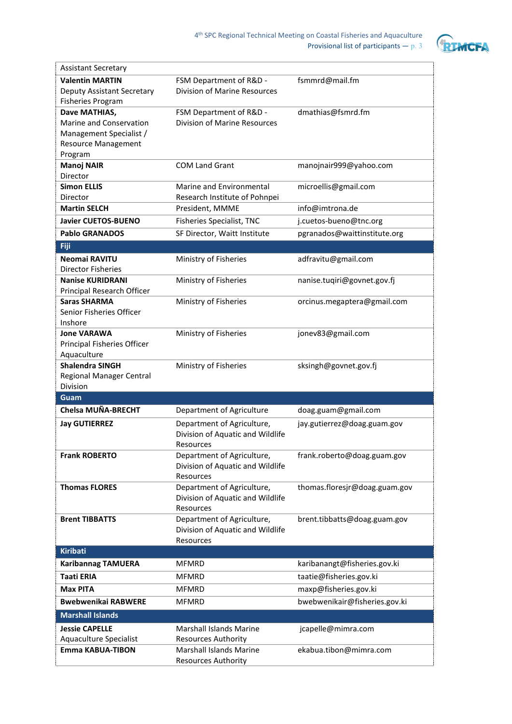

| <b>Assistant Secretary</b>                         |                                                                |                               |
|----------------------------------------------------|----------------------------------------------------------------|-------------------------------|
| <b>Valentin MARTIN</b>                             | FSM Department of R&D -                                        | fsmmrd@mail.fm                |
| Deputy Assistant Secretary                         | <b>Division of Marine Resources</b>                            |                               |
| <b>Fisheries Program</b>                           |                                                                |                               |
| Dave MATHIAS,                                      | FSM Department of R&D -                                        | dmathias@fsmrd.fm             |
| <b>Marine and Conservation</b>                     | <b>Division of Marine Resources</b>                            |                               |
| Management Specialist /                            |                                                                |                               |
| <b>Resource Management</b>                         |                                                                |                               |
| Program                                            |                                                                |                               |
| <b>Manoj NAIR</b><br>Director                      | <b>COM Land Grant</b>                                          | manojnair999@yahoo.com        |
| <b>Simon ELLIS</b>                                 | Marine and Environmental                                       | microellis@gmail.com          |
| Director                                           | Research Institute of Pohnpei                                  |                               |
| <b>Martin SELCH</b>                                | President, MMME                                                | info@imtrona.de               |
| <b>Javier CUETOS-BUENO</b>                         | Fisheries Specialist, TNC                                      | j.cuetos-bueno@tnc.org        |
| <b>Pablo GRANADOS</b>                              | SF Director, Waitt Institute                                   | pgranados@waittinstitute.org  |
| Fiji                                               |                                                                |                               |
| Neomai RAVITU                                      | Ministry of Fisheries                                          | adfravitu@gmail.com           |
| Director Fisheries                                 |                                                                |                               |
| <b>Nanise KURIDRANI</b>                            | Ministry of Fisheries                                          | nanise.tuqiri@govnet.gov.fj   |
| Principal Research Officer                         |                                                                |                               |
| <b>Saras SHARMA</b>                                | Ministry of Fisheries                                          | orcinus.megaptera@gmail.com   |
| Senior Fisheries Officer                           |                                                                |                               |
| Inshore                                            |                                                                |                               |
| <b>Jone VARAWA</b>                                 | Ministry of Fisheries                                          | jonev83@gmail.com             |
| Principal Fisheries Officer<br>Aquaculture         |                                                                |                               |
|                                                    |                                                                |                               |
|                                                    |                                                                |                               |
| <b>Shalendra SINGH</b><br>Regional Manager Central | Ministry of Fisheries                                          | sksingh@govnet.gov.fj         |
| <b>Division</b>                                    |                                                                |                               |
| Guam                                               |                                                                |                               |
| Chelsa MUÑA-BRECHT                                 | Department of Agriculture                                      | doag.guam@gmail.com           |
| <b>Jay GUTIERREZ</b>                               | Department of Agriculture,                                     | jay.gutierrez@doag.guam.gov   |
|                                                    | Division of Aquatic and Wildlife                               |                               |
|                                                    | Resources                                                      |                               |
| <b>Frank ROBERTO</b>                               | Department of Agriculture,                                     | frank.roberto@doag.guam.gov   |
|                                                    | Division of Aquatic and Wildlife                               |                               |
| <b>Thomas FLORES</b>                               | Resources                                                      |                               |
|                                                    | Department of Agriculture,<br>Division of Aquatic and Wildlife | thomas.floresjr@doag.guam.gov |
|                                                    | Resources                                                      |                               |
| <b>Brent TIBBATTS</b>                              | Department of Agriculture,                                     | brent.tibbatts@doag.guam.gov  |
|                                                    | Division of Aquatic and Wildlife                               |                               |
|                                                    | Resources                                                      |                               |
| <b>Kiribati</b>                                    |                                                                |                               |
| <b>Karibannag TAMUERA</b>                          | <b>MFMRD</b>                                                   | karibanangt@fisheries.gov.ki  |
| <b>Taati ERIA</b>                                  | <b>MFMRD</b>                                                   | taatie@fisheries.gov.ki       |
| <b>Max PITA</b>                                    | <b>MFMRD</b>                                                   | maxp@fisheries.gov.ki         |
| <b>Bwebwenikai RABWERE</b>                         | <b>MFMRD</b>                                                   | bwebwenikair@fisheries.gov.ki |
| <b>Marshall Islands</b>                            |                                                                |                               |
| <b>Jessie CAPELLE</b>                              | Marshall Islands Marine                                        | jcapelle@mimra.com            |
| Aquaculture Specialist                             | <b>Resources Authority</b>                                     |                               |
| <b>Emma KABUA-TIBON</b>                            | <b>Marshall Islands Marine</b><br><b>Resources Authority</b>   | ekabua.tibon@mimra.com        |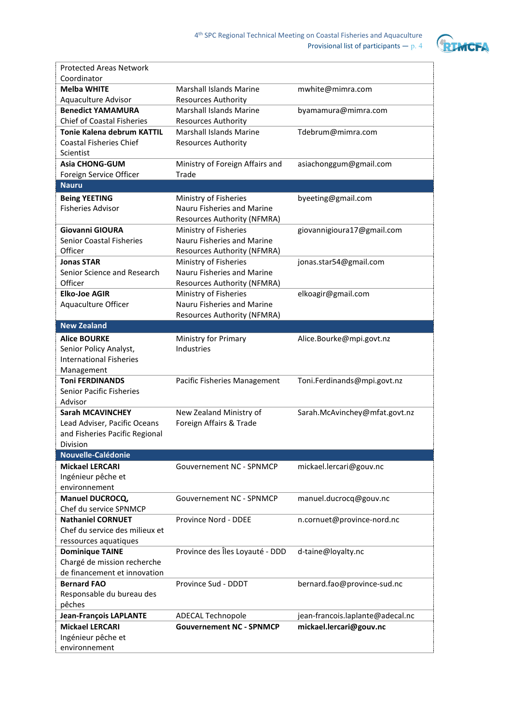

| <b>Protected Areas Network</b>    |                                    |                                  |
|-----------------------------------|------------------------------------|----------------------------------|
| Coordinator                       |                                    |                                  |
| <b>Melba WHITE</b>                | <b>Marshall Islands Marine</b>     | mwhite@mimra.com                 |
| Aquaculture Advisor               | <b>Resources Authority</b>         |                                  |
| <b>Benedict YAMAMURA</b>          | <b>Marshall Islands Marine</b>     | byamamura@mimra.com              |
| <b>Chief of Coastal Fisheries</b> | Resources Authority                |                                  |
| <b>Tonie Kalena debrum KATTIL</b> | <b>Marshall Islands Marine</b>     | Tdebrum@mimra.com                |
| <b>Coastal Fisheries Chief</b>    | <b>Resources Authority</b>         |                                  |
| Scientist                         |                                    |                                  |
| <b>Asia CHONG-GUM</b>             | Ministry of Foreign Affairs and    | asiachonggum@gmail.com           |
| Foreign Service Officer           | Trade                              |                                  |
| <b>Nauru</b>                      |                                    |                                  |
| <b>Being YEETING</b>              | Ministry of Fisheries              | byeeting@gmail.com               |
| <b>Fisheries Advisor</b>          | Nauru Fisheries and Marine         |                                  |
|                                   | Resources Authority (NFMRA)        |                                  |
| <b>Giovanni GIOURA</b>            | Ministry of Fisheries              | giovannigioura17@gmail.com       |
| <b>Senior Coastal Fisheries</b>   | Nauru Fisheries and Marine         |                                  |
| Officer                           | <b>Resources Authority (NFMRA)</b> |                                  |
| <b>Jonas STAR</b>                 | Ministry of Fisheries              | jonas.star54@gmail.com           |
| Senior Science and Research       | Nauru Fisheries and Marine         |                                  |
| Officer                           | <b>Resources Authority (NFMRA)</b> |                                  |
| <b>Elko-Joe AGIR</b>              | Ministry of Fisheries              | elkoagir@gmail.com               |
| Aquaculture Officer               | Nauru Fisheries and Marine         |                                  |
|                                   | Resources Authority (NFMRA)        |                                  |
| <b>New Zealand</b>                |                                    |                                  |
| <b>Alice BOURKE</b>               | Ministry for Primary               | Alice.Bourke@mpi.govt.nz         |
| Senior Policy Analyst,            | <b>Industries</b>                  |                                  |
| <b>International Fisheries</b>    |                                    |                                  |
| Management                        |                                    |                                  |
| <b>Toni FERDINANDS</b>            | Pacific Fisheries Management       | Toni.Ferdinands@mpi.govt.nz      |
| <b>Senior Pacific Fisheries</b>   |                                    |                                  |
| Advisor                           |                                    |                                  |
| <b>Sarah MCAVINCHEY</b>           | New Zealand Ministry of            | Sarah.McAvinchey@mfat.govt.nz    |
| Lead Adviser, Pacific Oceans      | Foreign Affairs & Trade            |                                  |
| and Fisheries Pacific Regional    |                                    |                                  |
| Division                          |                                    |                                  |
| Nouvelle-Calédonie                |                                    |                                  |
| <b>Mickael LERCARI</b>            | <b>Gouvernement NC - SPNMCP</b>    | mickael.lercari@gouv.nc          |
| Ingénieur pêche et                |                                    |                                  |
| environnement                     |                                    |                                  |
| <b>Manuel DUCROCQ,</b>            | <b>Gouvernement NC - SPNMCP</b>    | manuel.ducrocq@gouv.nc           |
| Chef du service SPNMCP            |                                    |                                  |
| <b>Nathaniel CORNUET</b>          | Province Nord - DDEE               | n.cornuet@province-nord.nc       |
| Chef du service des milieux et    |                                    |                                  |
| ressources aquatiques             |                                    |                                  |
| <b>Dominique TAINE</b>            | Province des Îles Loyauté - DDD    | d-taine@loyalty.nc               |
| Chargé de mission recherche       |                                    |                                  |
| de financement et innovation      |                                    |                                  |
| <b>Bernard FAO</b>                | Province Sud - DDDT                | bernard.fao@province-sud.nc      |
| Responsable du bureau des         |                                    |                                  |
| pêches                            |                                    |                                  |
| <b>Jean-François LAPLANTE</b>     | <b>ADECAL Technopole</b>           | jean-francois.laplante@adecal.nc |
| <b>Mickael LERCARI</b>            | <b>Gouvernement NC - SPNMCP</b>    | mickael.lercari@gouv.nc          |
| Ingénieur pêche et                |                                    |                                  |
| environnement                     |                                    |                                  |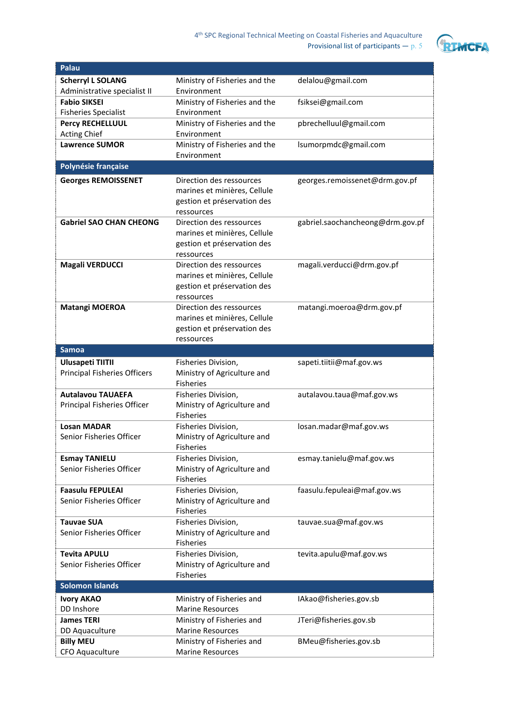

| Palau                               |                               |                                  |
|-------------------------------------|-------------------------------|----------------------------------|
| <b>Scherryl L SOLANG</b>            | Ministry of Fisheries and the | delalou@gmail.com                |
| Administrative specialist II        | Environment                   |                                  |
| <b>Fabio SIKSEI</b>                 | Ministry of Fisheries and the | fsiksei@gmail.com                |
| <b>Fisheries Specialist</b>         | Environment                   |                                  |
| Percy RECHELLUUL                    | Ministry of Fisheries and the | pbrechelluul@gmail.com           |
| <b>Acting Chief</b>                 | Environment                   |                                  |
| <b>Lawrence SUMOR</b>               | Ministry of Fisheries and the | lsumorpmdc@gmail.com             |
|                                     | Environment                   |                                  |
| Polynésie française                 |                               |                                  |
| <b>Georges REMOISSENET</b>          | Direction des ressources      | georges.remoissenet@drm.gov.pf   |
|                                     | marines et minières, Cellule  |                                  |
|                                     | gestion et préservation des   |                                  |
|                                     | ressources                    |                                  |
| <b>Gabriel SAO CHAN CHEONG</b>      | Direction des ressources      | gabriel.saochancheong@drm.gov.pf |
|                                     | marines et minières, Cellule  |                                  |
|                                     | gestion et préservation des   |                                  |
|                                     | ressources                    |                                  |
| <b>Magali VERDUCCI</b>              | Direction des ressources      | magali.verducci@drm.gov.pf       |
|                                     | marines et minières, Cellule  |                                  |
|                                     | gestion et préservation des   |                                  |
|                                     | ressources                    |                                  |
| <b>Matangi MOEROA</b>               | Direction des ressources      | matangi.moeroa@drm.gov.pf        |
|                                     | marines et minières, Cellule  |                                  |
|                                     | gestion et préservation des   |                                  |
|                                     | ressources                    |                                  |
| <b>Samoa</b>                        |                               |                                  |
| <b>Ulusapeti TIITII</b>             | Fisheries Division,           | sapeti.tiitii@maf.gov.ws         |
| <b>Principal Fisheries Officers</b> | Ministry of Agriculture and   |                                  |
|                                     | <b>Fisheries</b>              |                                  |
| <b>Autalavou TAUAEFA</b>            | Fisheries Division,           | autalavou.taua@maf.gov.ws        |
| Principal Fisheries Officer         | Ministry of Agriculture and   |                                  |
|                                     | <b>Fisheries</b>              |                                  |
| <b>Losan MADAR</b>                  | Fisheries Division,           | losan.madar@maf.gov.ws           |
| Senior Fisheries Officer            | Ministry of Agriculture and   |                                  |
|                                     | Fisheries                     |                                  |
| <b>Esmay TANIELU</b>                | Fisheries Division,           | esmay.tanielu@maf.gov.ws         |
| Senior Fisheries Officer            | Ministry of Agriculture and   |                                  |
|                                     | <b>Fisheries</b>              |                                  |
| <b>Faasulu FEPULEAI</b>             | Fisheries Division,           | faasulu.fepuleai@maf.gov.ws      |
| Senior Fisheries Officer            | Ministry of Agriculture and   |                                  |
|                                     | Fisheries                     |                                  |
| <b>Tauvae SUA</b>                   | Fisheries Division,           | tauvae.sua@maf.gov.ws            |
| Senior Fisheries Officer            | Ministry of Agriculture and   |                                  |
|                                     | <b>Fisheries</b>              |                                  |
| <b>Tevita APULU</b>                 | Fisheries Division,           | tevita.apulu@maf.gov.ws          |
| Senior Fisheries Officer            | Ministry of Agriculture and   |                                  |
|                                     | <b>Fisheries</b>              |                                  |
| <b>Solomon Islands</b>              |                               |                                  |
| <b>Ivory AKAO</b>                   | Ministry of Fisheries and     | IAkao@fisheries.gov.sb           |
| DD Inshore                          | <b>Marine Resources</b>       |                                  |
| <b>James TERI</b>                   | Ministry of Fisheries and     | JTeri@fisheries.gov.sb           |
| DD Aquaculture                      | <b>Marine Resources</b>       |                                  |
| <b>Billy MEU</b>                    | Ministry of Fisheries and     | BMeu@fisheries.gov.sb            |
| CFO Aquaculture                     | <b>Marine Resources</b>       |                                  |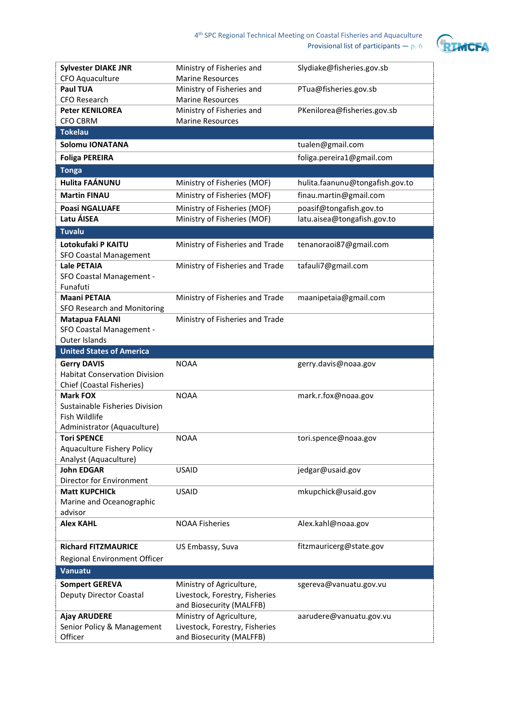

| <b>Sylvester DIAKE JNR</b>                        | Ministry of Fisheries and                                  | Slydiake@fisheries.gov.sb       |
|---------------------------------------------------|------------------------------------------------------------|---------------------------------|
| CFO Aquaculture                                   | <b>Marine Resources</b>                                    |                                 |
| <b>Paul TUA</b>                                   | Ministry of Fisheries and                                  | PTua@fisheries.gov.sb           |
| <b>CFO Research</b>                               | <b>Marine Resources</b>                                    |                                 |
| <b>Peter KENILOREA</b>                            | Ministry of Fisheries and                                  | PKenilorea@fisheries.gov.sb     |
| <b>CFO CBRM</b>                                   | <b>Marine Resources</b>                                    |                                 |
| <b>Tokelau</b>                                    |                                                            |                                 |
| Solomu IONATANA                                   |                                                            | tualen@gmail.com                |
| <b>Foliga PEREIRA</b>                             |                                                            | foliga.pereira1@gmail.com       |
| <b>Tonga</b>                                      |                                                            |                                 |
| <b>Hulita FAÁNUNU</b>                             | Ministry of Fisheries (MOF)                                | hulita.faanunu@tongafish.gov.to |
| <b>Martin FINAU</b>                               | Ministry of Fisheries (MOF)                                | finau.martin@gmail.com          |
| <b>Poasi NGALUAFE</b>                             | Ministry of Fisheries (MOF)                                | poasif@tongafish.gov.to         |
| Latu ÁISEA                                        | Ministry of Fisheries (MOF)                                | latu.aisea@tongafish.gov.to     |
| <b>Tuvalu</b>                                     |                                                            |                                 |
| Lotokufaki P KAITU                                | Ministry of Fisheries and Trade                            | tenanoraoi87@gmail.com          |
| <b>SFO Coastal Management</b>                     |                                                            |                                 |
| <b>Lale PETAIA</b>                                | Ministry of Fisheries and Trade                            | tafauli7@gmail.com              |
| SFO Coastal Management -                          |                                                            |                                 |
| Funafuti                                          |                                                            |                                 |
| <b>Maani PETAIA</b>                               | Ministry of Fisheries and Trade                            | maanipetaia@gmail.com           |
| SFO Research and Monitoring                       |                                                            |                                 |
| <b>Matapua FALANI</b>                             | Ministry of Fisheries and Trade                            |                                 |
| SFO Coastal Management -                          |                                                            |                                 |
| <b>Outer Islands</b>                              |                                                            |                                 |
|                                                   |                                                            |                                 |
| <b>United States of America</b>                   |                                                            |                                 |
| <b>Gerry DAVIS</b>                                | <b>NOAA</b>                                                | gerry.davis@noaa.gov            |
| <b>Habitat Conservation Division</b>              |                                                            |                                 |
| Chief (Coastal Fisheries)                         |                                                            |                                 |
| <b>Mark FOX</b>                                   | <b>NOAA</b>                                                | mark.r.fox@noaa.gov             |
| Sustainable Fisheries Division                    |                                                            |                                 |
| Fish Wildlife                                     |                                                            |                                 |
| Administrator (Aquaculture)                       |                                                            |                                 |
| <b>Tori SPENCE</b>                                | <b>NOAA</b>                                                | tori.spence@noaa.gov            |
| Aquaculture Fishery Policy                        |                                                            |                                 |
| Analyst (Aquaculture)<br><b>John EDGAR</b>        | <b>USAID</b>                                               | jedgar@usaid.gov                |
| Director for Environment                          |                                                            |                                 |
| <b>Matt KUPCHICk</b>                              | <b>USAID</b>                                               | mkupchick@usaid.gov             |
| Marine and Oceanographic                          |                                                            |                                 |
| advisor                                           |                                                            |                                 |
| <b>Alex KAHL</b>                                  | <b>NOAA Fisheries</b>                                      | Alex.kahl@noaa.gov              |
| <b>Richard FITZMAURICE</b>                        |                                                            |                                 |
|                                                   | US Embassy, Suva                                           | fitzmauricerg@state.gov         |
| Regional Environment Officer                      |                                                            |                                 |
| Vanuatu                                           |                                                            |                                 |
| <b>Sompert GEREVA</b>                             | Ministry of Agriculture,                                   | sgereva@vanuatu.gov.vu          |
| <b>Deputy Director Coastal</b>                    | Livestock, Forestry, Fisheries                             |                                 |
|                                                   | and Biosecurity (MALFFB)                                   |                                 |
| <b>Ajay ARUDERE</b><br>Senior Policy & Management | Ministry of Agriculture,<br>Livestock, Forestry, Fisheries | aarudere@vanuatu.gov.vu         |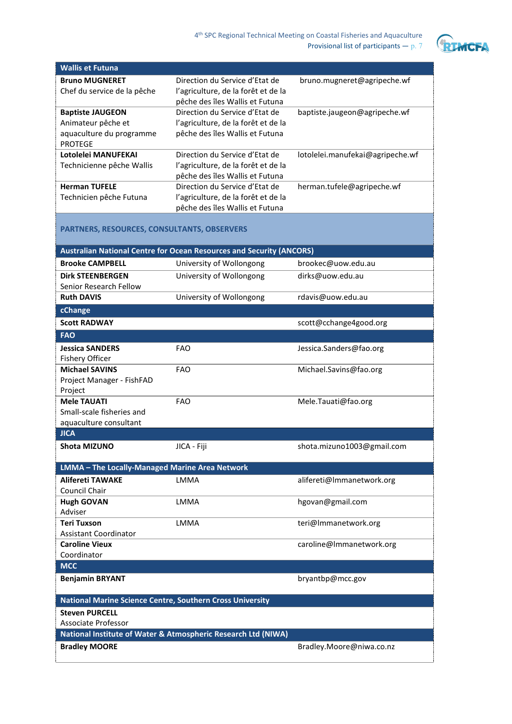

|                                                    |                                                                             | Provisional list of participants $- p. 7$ |
|----------------------------------------------------|-----------------------------------------------------------------------------|-------------------------------------------|
| <b>Wallis et Futuna</b>                            |                                                                             |                                           |
| <b>Bruno MUGNERET</b>                              | Direction du Service d'Etat de                                              | bruno.mugneret@agripeche.wf               |
| Chef du service de la pêche                        | l'agriculture, de la forêt et de la                                         |                                           |
|                                                    | pêche des îles Wallis et Futuna                                             |                                           |
| <b>Baptiste JAUGEON</b>                            | Direction du Service d'Etat de                                              | baptiste.jaugeon@agripeche.wf             |
| Animateur pêche et                                 | l'agriculture, de la forêt et de la                                         |                                           |
| aquaculture du programme                           | pêche des îles Wallis et Futuna                                             |                                           |
| <b>PROTEGE</b>                                     |                                                                             |                                           |
| Lotolelei MANUFEKAI                                | Direction du Service d'Etat de                                              | lotolelei.manufekai@agripeche.wf          |
| Technicienne pêche Wallis                          | l'agriculture, de la forêt et de la                                         |                                           |
|                                                    | pêche des îles Wallis et Futuna                                             |                                           |
| <b>Herman TUFELE</b>                               | Direction du Service d'Etat de                                              | herman.tufele@agripeche.wf                |
| Technicien pêche Futuna                            | l'agriculture, de la forêt et de la<br>pêche des îles Wallis et Futuna      |                                           |
|                                                    |                                                                             |                                           |
| <b>PARTNERS, RESOURCES, CONSULTANTS, OBSERVERS</b> |                                                                             |                                           |
|                                                    |                                                                             |                                           |
|                                                    | <b>Australian National Centre for Ocean Resources and Security (ANCORS)</b> |                                           |
| <b>Brooke CAMPBELL</b>                             | University of Wollongong                                                    | brookec@uow.edu.au                        |
| <b>Dirk STEENBERGEN</b>                            | University of Wollongong                                                    | dirks@uow.edu.au                          |
| Senior Research Fellow                             |                                                                             |                                           |
| <b>Ruth DAVIS</b>                                  | University of Wollongong                                                    | rdavis@uow.edu.au                         |
| cChange                                            |                                                                             |                                           |
| <b>Scott RADWAY</b>                                |                                                                             | scott@cchange4good.org                    |
| <b>FAO</b>                                         |                                                                             |                                           |
| <b>Jessica SANDERS</b>                             | <b>FAO</b>                                                                  | Jessica.Sanders@fao.org                   |
| <b>Fishery Officer</b>                             |                                                                             |                                           |
| <b>Michael SAVINS</b>                              | <b>FAO</b>                                                                  | Michael.Savins@fao.org                    |
| Project Manager - FishFAD                          |                                                                             |                                           |
| Project                                            |                                                                             |                                           |
| <b>Mele TAUATI</b>                                 | <b>FAO</b>                                                                  | Mele.Tauati@fao.org                       |
| Small-scale fisheries and                          |                                                                             |                                           |
| aquaculture consultant<br><b>JICA</b>              |                                                                             |                                           |
|                                                    |                                                                             |                                           |
| <b>Shota MIZUNO</b>                                | JICA - Fiji                                                                 | shota.mizuno1003@gmail.com                |
| LMMA - The Locally-Managed Marine Area Network     |                                                                             |                                           |
| <b>Alifereti TAWAKE</b>                            | <b>LMMA</b>                                                                 | alifereti@Immanetwork.org                 |
| Council Chair                                      |                                                                             |                                           |
| <b>Hugh GOVAN</b>                                  | <b>LMMA</b>                                                                 | hgovan@gmail.com                          |
| Adviser                                            |                                                                             |                                           |

LMMA [teri@lmmanetwork.org](mailto:teri@lmmanetwork.org)

**Benjamin BRYANT** bryantbp@mcc.gov

**Bradley MOORE** [Bradley.Moore@niwa.co.nz](mailto:Bradley.Moore@niwa.co.nz)

**National Marine Science Centre, Southern Cross University**

**National Institute of Water & Atmospheric Research Ltd (NIWA)**

[caroline@lmmanetwork.org](mailto:caroline@lmmanetwork.org)

**Teri Tuxson**

**MCC**

**Caroline Vieux** Coordinator

**Steven PURCELL** Associate Professor

Assistant Coordinator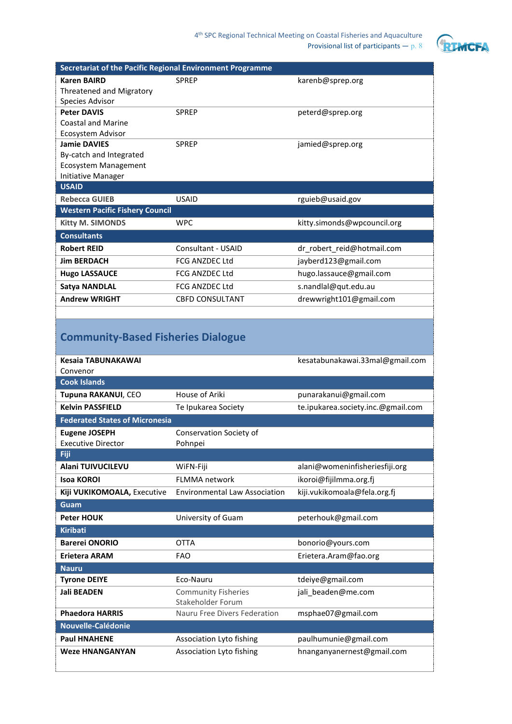

|                                                                                                    |                                      | Provisional list of participants $- p. 8$ |
|----------------------------------------------------------------------------------------------------|--------------------------------------|-------------------------------------------|
|                                                                                                    |                                      |                                           |
| Secretariat of the Pacific Regional Environment Programme                                          |                                      |                                           |
| <b>Karen BAIRD</b>                                                                                 | <b>SPREP</b>                         | karenb@sprep.org                          |
| <b>Threatened and Migratory</b><br>Species Advisor                                                 |                                      |                                           |
| <b>Peter DAVIS</b>                                                                                 | <b>SPREP</b>                         | peterd@sprep.org                          |
| <b>Coastal and Marine</b>                                                                          |                                      |                                           |
| Ecosystem Advisor                                                                                  |                                      |                                           |
| <b>Jamie DAVIES</b>                                                                                | <b>SPREP</b>                         | jamied@sprep.org                          |
| By-catch and Integrated                                                                            |                                      |                                           |
| <b>Ecosystem Management</b>                                                                        |                                      |                                           |
| <b>Initiative Manager</b>                                                                          |                                      |                                           |
| <b>USAID</b>                                                                                       |                                      |                                           |
| <b>Rebecca GUIEB</b>                                                                               | <b>USAID</b>                         | rguieb@usaid.gov                          |
| <b>Western Pacific Fishery Council</b>                                                             |                                      |                                           |
| <b>Kitty M. SIMONDS</b>                                                                            | <b>WPC</b>                           | kitty.simonds@wpcouncil.org               |
| <b>Consultants</b>                                                                                 |                                      |                                           |
| <b>Robert REID</b>                                                                                 | Consultant - USAID                   | dr_robert_reid@hotmail.com                |
| <b>Jim BERDACH</b>                                                                                 | <b>FCG ANZDEC Ltd</b>                | jayberd123@gmail.com                      |
| <b>Hugo LASSAUCE</b>                                                                               | <b>FCG ANZDEC Ltd</b>                | hugo.lassauce@gmail.com                   |
| <b>Satya NANDLAL</b>                                                                               | <b>FCG ANZDEC Ltd</b>                | s.nandlal@qut.edu.au                      |
| <b>Andrew WRIGHT</b>                                                                               |                                      |                                           |
|                                                                                                    | <b>CBFD CONSULTANT</b>               | drewwright101@gmail.com                   |
| <b>Community-Based Fisheries Dialogue</b><br>Kesaia TABUNAKAWAI<br>Convenor<br><b>Cook Islands</b> |                                      | kesatabunakawai.33mal@gmail.com           |
| Tupuna RAKANUI, CEO                                                                                | House of Ariki                       | punarakanui@gmail.com                     |
| <b>Kelvin PASSFIELD</b>                                                                            | Te Ipukarea Society                  | te.ipukarea.society.inc.@gmail.com        |
|                                                                                                    |                                      |                                           |
| <b>Federated States of Micronesia</b>                                                              |                                      |                                           |
| <b>Eugene JOSEPH</b>                                                                               | Conservation Society of              |                                           |
| <b>Executive Director</b><br>Fiji                                                                  | Pohnpei                              |                                           |
| <b>Alani TUIVUCILEVU</b>                                                                           | WiFN-Fiji                            | alani@womeninfisheriesfiji.org            |
| <b>Isoa KOROI</b>                                                                                  | FLMMA network                        |                                           |
|                                                                                                    |                                      | ikoroi@fijilmma.org.fj                    |
| Kiji VUKIKOMOALA, Executive                                                                        | <b>Environmental Law Association</b> | kiji.vukikomoala@fela.org.fj              |
| Guam                                                                                               |                                      |                                           |
| <b>Peter HOUK</b>                                                                                  | University of Guam                   | peterhouk@gmail.com                       |
| <b>Kiribati</b>                                                                                    |                                      |                                           |
| <b>Barerei ONORIO</b>                                                                              | <b>OTTA</b>                          | bonorio@yours.com                         |
| <b>Erietera ARAM</b>                                                                               | <b>FAO</b>                           | Erietera.Aram@fao.org                     |
| <b>Nauru</b>                                                                                       |                                      |                                           |
| <b>Tyrone DEIYE</b>                                                                                | Eco-Nauru                            | tdeiye@gmail.com                          |
| <b>Jali BEADEN</b>                                                                                 | <b>Community Fisheries</b>           | jali_beaden@me.com                        |
|                                                                                                    | Stakeholder Forum                    |                                           |
| <b>Phaedora HARRIS</b>                                                                             | Nauru Free Divers Federation         | msphae07@gmail.com                        |
| Nouvelle-Calédonie                                                                                 |                                      |                                           |
| <b>Paul HNAHENE</b>                                                                                | Association Lyto fishing             | paulhumunie@gmail.com                     |
| <b>Weze HNANGANYAN</b>                                                                             | Association Lyto fishing             | hnanganyanernest@gmail.com                |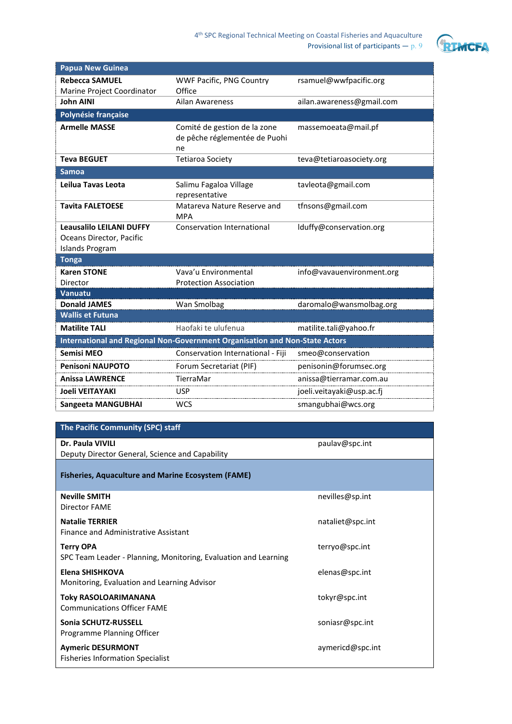

| <b>Papua New Guinea</b>                                                               |                                                                             |                           |
|---------------------------------------------------------------------------------------|-----------------------------------------------------------------------------|---------------------------|
| <b>Rebecca SAMUEL</b>                                                                 | <b>WWF Pacific, PNG Country</b>                                             | rsamuel@wwfpacific.org    |
| Marine Project Coordinator                                                            | Office                                                                      |                           |
| <b>John AINI</b>                                                                      | <b>Ailan Awareness</b>                                                      | ailan.awareness@gmail.com |
| Polynésie française                                                                   |                                                                             |                           |
| <b>Armelle MASSE</b>                                                                  | Comité de gestion de la zone<br>de pêche réglementée de Puohi<br>ne         | massemoeata@mail.pf       |
| <b>Teva BEGUET</b>                                                                    | <b>Tetiaroa Society</b>                                                     | teva@tetiaroasociety.org  |
| <b>Samoa</b>                                                                          |                                                                             |                           |
| Leilua Tavas Leota                                                                    | Salimu Fagaloa Village<br>representative                                    | tavleota@gmail.com        |
| <b>Tavita FALETOESE</b>                                                               | Matareva Nature Reserve and<br><b>MPA</b>                                   | tfnsons@gmail.com         |
| <b>Leausalilo LEILANI DUFFY</b><br>Oceans Director, Pacific<br><b>Islands Program</b> | Conservation International                                                  | lduffy@conservation.org   |
| <b>Tonga</b>                                                                          |                                                                             |                           |
| <b>Karen STONE</b>                                                                    | Vava'u Environmental                                                        | info@vavauenvironment.org |
| Director                                                                              | <b>Protection Association</b>                                               |                           |
| Vanuatu                                                                               |                                                                             |                           |
| <b>Donald JAMES</b>                                                                   | Wan Smolbag                                                                 | daromalo@wansmolbag.org   |
| <b>Wallis et Futuna</b>                                                               |                                                                             |                           |
| <b>Matilite TALI</b>                                                                  | Haofaki te ulufenua                                                         | matilite.tali@yahoo.fr    |
|                                                                                       | International and Regional Non-Government Organisation and Non-State Actors |                           |
| Semisi MEO                                                                            | Conservation International - Fiji                                           | smeo@conservation         |
| <b>Penisoni NAUPOTO</b>                                                               | Forum Secretariat (PIF)                                                     | penisonin@forumsec.org    |
| <b>Anissa LAWRENCE</b>                                                                | TierraMar                                                                   | anissa@tierramar.com.au   |
| <b>Joeli VEITAYAKI</b>                                                                | <b>USP</b>                                                                  | joeli.veitayaki@usp.ac.fj |
| <b>Sangeeta MANGUBHAI</b>                                                             | <b>WCS</b>                                                                  | smangubhai@wcs.org        |

| The Pacific Community (SPC) staff                                                   |                  |
|-------------------------------------------------------------------------------------|------------------|
| Dr. Paula VIVILI<br>Deputy Director General, Science and Capability                 | paulav@spc.int   |
| <b>Fisheries, Aquaculture and Marine Ecosystem (FAME)</b>                           |                  |
| <b>Neville SMITH</b><br>Director FAME                                               | nevilles@sp.int  |
| <b>Natalie TERRIER</b><br>Finance and Administrative Assistant                      | nataliet@spc.int |
| <b>Terry OPA</b><br>SPC Team Leader - Planning, Monitoring, Evaluation and Learning | terryo@spc.int   |
| Elena SHISHKOVA<br>Monitoring, Evaluation and Learning Advisor                      | elenas@spc.int   |
| Toky RASOLOARIMANANA<br><b>Communications Officer FAME</b>                          | tokyr@spc.int    |
| Sonia SCHUTZ-RUSSELL<br>Programme Planning Officer                                  | soniasr@spc.int  |
| <b>Aymeric DESURMONT</b><br>Fisheries Information Specialist                        | aymericd@spc.int |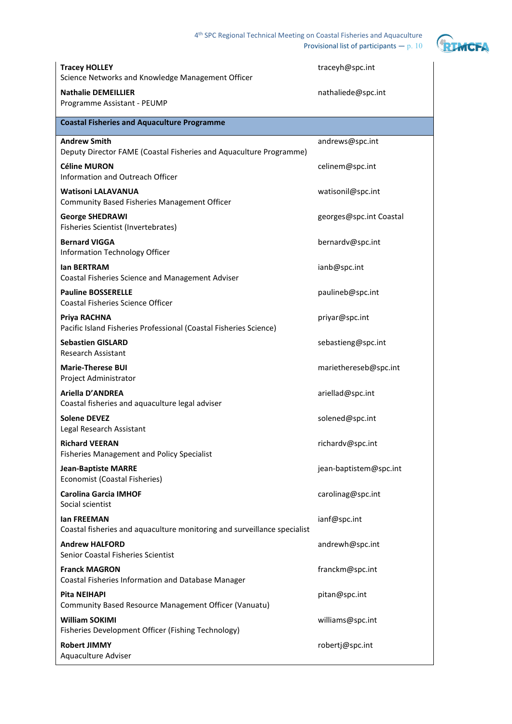4th SPC Regional Technical Meeting on Coastal Fisheries and Aquaculture

Provisional list of participants —  $p. 10$ 



| <b>Tracey HOLLEY</b><br>Science Networks and Knowledge Management Officer                 | traceyh@spc.int         |
|-------------------------------------------------------------------------------------------|-------------------------|
| <b>Nathalie DEMEILLIER</b><br>Programme Assistant - PEUMP                                 | nathaliede@spc.int      |
| <b>Coastal Fisheries and Aquaculture Programme</b>                                        |                         |
| <b>Andrew Smith</b><br>Deputy Director FAME (Coastal Fisheries and Aquaculture Programme) | andrews@spc.int         |
| <b>Céline MURON</b><br>Information and Outreach Officer                                   | celinem@spc.int         |
| <b>Watisoni LALAVANUA</b><br><b>Community Based Fisheries Management Officer</b>          | watisonil@spc.int       |
| <b>George SHEDRAWI</b><br>Fisheries Scientist (Invertebrates)                             | georges@spc.int Coastal |
| <b>Bernard VIGGA</b><br>Information Technology Officer                                    | bernardv@spc.int        |
| lan BERTRAM<br>Coastal Fisheries Science and Management Adviser                           | ianb@spc.int            |
| <b>Pauline BOSSERELLE</b><br><b>Coastal Fisheries Science Officer</b>                     | paulineb@spc.int        |
| Priya RACHNA<br>Pacific Island Fisheries Professional (Coastal Fisheries Science)         | priyar@spc.int          |
| <b>Sebastien GISLARD</b><br><b>Research Assistant</b>                                     | sebastieng@spc.int      |
| <b>Marie-Therese BUI</b><br>Project Administrator                                         | mariethereseb@spc.int   |
| Ariella D'ANDREA<br>Coastal fisheries and aquaculture legal adviser                       | ariellad@spc.int        |
| <b>Solene DEVEZ</b><br>Legal Research Assistant                                           | solened@spc.int         |
| <b>Richard VEERAN</b><br><b>Fisheries Management and Policy Specialist</b>                | richardv@spc.int        |
| <b>Jean-Baptiste MARRE</b><br>Economist (Coastal Fisheries)                               | jean-baptistem@spc.int  |
| <b>Carolina Garcia IMHOF</b><br>Social scientist                                          | carolinag@spc.int       |
| lan FREEMAN<br>Coastal fisheries and aquaculture monitoring and surveillance specialist   | ianf@spc.int            |
| <b>Andrew HALFORD</b><br><b>Senior Coastal Fisheries Scientist</b>                        | andrewh@spc.int         |
| <b>Franck MAGRON</b><br>Coastal Fisheries Information and Database Manager                | franckm@spc.int         |
| Pita NEIHAPI<br>Community Based Resource Management Officer (Vanuatu)                     | pitan@spc.int           |
| <b>William SOKIMI</b><br>Fisheries Development Officer (Fishing Technology)               | williams@spc.int        |
| <b>Robert JIMMY</b><br>Aquaculture Adviser                                                | robertj@spc.int         |